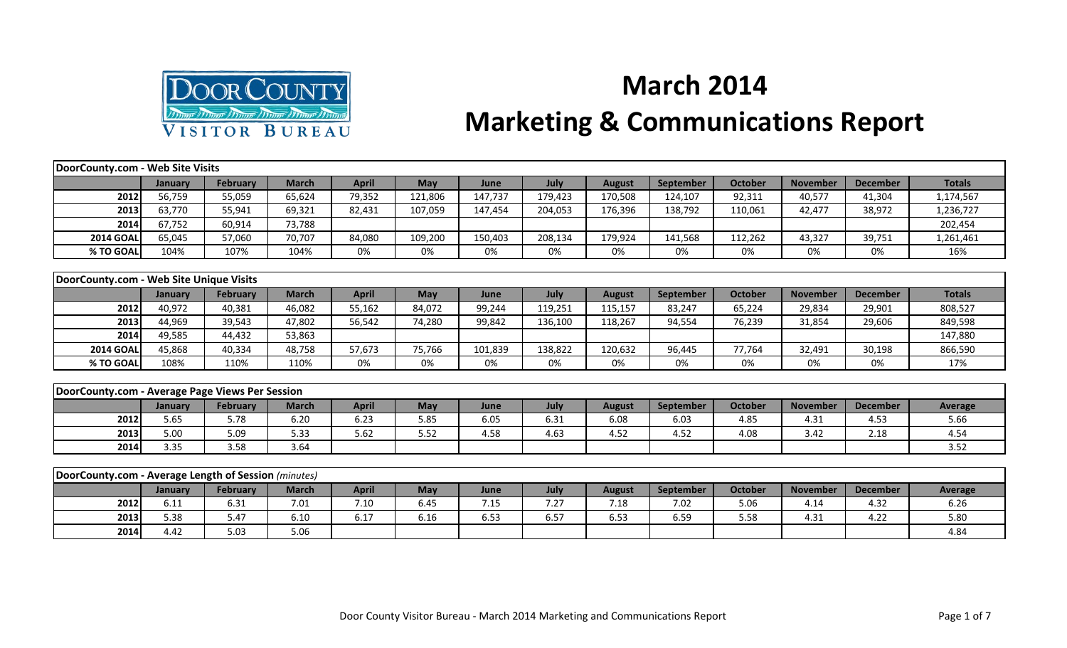

## **March 2014 Marketing & Communications Report**

| DoorCounty.com - Web Site Visits                     |         |                 |              |              |            |         |             |               |                  |                |                 |                 |               |
|------------------------------------------------------|---------|-----------------|--------------|--------------|------------|---------|-------------|---------------|------------------|----------------|-----------------|-----------------|---------------|
|                                                      | January | <b>February</b> | <b>March</b> | <b>April</b> | <b>May</b> | June    | July        | <b>August</b> | September        | <b>October</b> | <b>November</b> | <b>December</b> | <b>Totals</b> |
| 2012                                                 | 56,759  | 55,059          | 65,624       | 79,352       | 121,806    | 147,737 | 179,423     | 170,508       | 124,107          | 92,311         | 40,577          | 41,304          | 1,174,567     |
| 2013                                                 | 63,770  | 55,941          | 69,321       | 82,431       | 107,059    | 147,454 | 204,053     | 176,396       | 138,792          | 110,061        | 42,477          | 38,972          | 1,236,727     |
| 2014                                                 | 67,752  | 60,914          | 73,788       |              |            |         |             |               |                  |                |                 |                 | 202,454       |
| <b>2014 GOAL</b>                                     | 65,045  | 57,060          | 70,707       | 84,080       | 109,200    | 150,403 | 208,134     | 179,924       | 141,568          | 112,262        | 43,327          | 39,751          | 1,261,461     |
| % TO GOAL                                            | 104%    | 107%            | 104%         | 0%           | 0%         | 0%      | 0%          | 0%            | 0%               | 0%             | 0%              | 0%              | 16%           |
|                                                      |         |                 |              |              |            |         |             |               |                  |                |                 |                 |               |
| DoorCounty.com - Web Site Unique Visits              |         |                 |              |              |            |         |             |               |                  |                |                 |                 |               |
|                                                      | January | <b>February</b> | <b>March</b> | <b>April</b> | <b>May</b> | June    | July        | <b>August</b> | <b>September</b> | <b>October</b> | <b>November</b> | <b>December</b> | <b>Totals</b> |
| 2012                                                 | 40,972  | 40,381          | 46,082       | 55,162       | 84,072     | 99,244  | 119,251     | 115,157       | 83,247           | 65,224         | 29,834          | 29,901          | 808,527       |
| 2013                                                 | 44,969  | 39,543          | 47,802       | 56,542       | 74,280     | 99,842  | 136,100     | 118,267       | 94,554           | 76,239         | 31,854          | 29,606          | 849,598       |
| 2014                                                 | 49,585  | 44,432          | 53,863       |              |            |         |             |               |                  |                |                 |                 | 147,880       |
| <b>2014 GOAL</b>                                     | 45,868  | 40,334          | 48,758       | 57,673       | 75,766     | 101,839 | 138,822     | 120,632       | 96,445           | 77,764         | 32,491          | 30,198          | 866,590       |
| % TO GOAL                                            | 108%    | 110%            | 110%         | 0%           | 0%         | 0%      | 0%          | 0%            | 0%               | 0%             | 0%              | 0%              | 17%           |
|                                                      |         |                 |              |              |            |         |             |               |                  |                |                 |                 |               |
| DoorCounty.com - Average Page Views Per Session      |         |                 |              |              |            |         |             |               |                  |                |                 |                 |               |
|                                                      | January | February        | <b>March</b> | <b>April</b> | May        | June    | <b>July</b> | <b>August</b> | September        | <b>October</b> | <b>November</b> | <b>December</b> | Average       |
| 2012                                                 | 5.65    | 5.78            | 6.20         | 6.23         | 5.85       | 6.05    | 6.31        | 6.08          | 6.03             | 4.85           | 4.31            | 4.53            | 5.66          |
| 2013                                                 | 5.00    | 5.09            | 5.33         | 5.62         | 5.52       | 4.58    | 4.63        | 4.52          | 4.52             | 4.08           | 3.42            | 2.18            | 4.54          |
| 2014                                                 | 3.35    | 3.58            | 3.64         |              |            |         |             |               |                  |                |                 |                 | 3.52          |
|                                                      |         |                 |              |              |            |         |             |               |                  |                |                 |                 |               |
| DoorCounty.com - Average Length of Session (minutes) |         |                 |              |              |            |         |             |               |                  |                |                 |                 |               |
|                                                      | January | February        | <b>March</b> | <b>April</b> | May        | June    | July        | <b>August</b> | <b>September</b> | <b>October</b> | <b>November</b> | <b>December</b> | Average       |
| 2012                                                 | 6.11    | 6.31            | 7.01         | 7.10         | 6.45       | 7.15    | 7.27        | 7.18          | 7.02             | 5.06           | 4.14            | 4.32            | 6.26          |
| 2013                                                 | 5.38    | 5.47            | 6.10         | 6.17         | 6.16       | 6.53    | 6.57        | 6.53          | 6.59             | 5.58           | 4.31            | 4.22            | 5.80          |

**2014** 4.42 5.03 5.06 4.84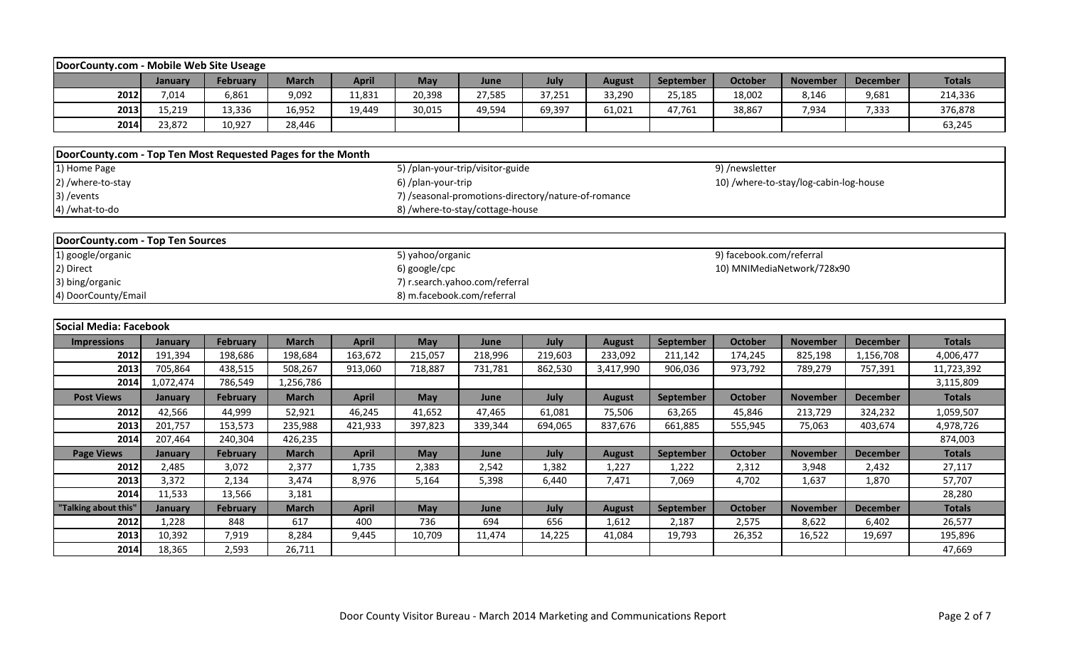| DoorCounty.com - Mobile Web Site Useage                     |                                 |                 |                 |              |                            |                                                     |         |               |           |                          |                                        |                 |                   |
|-------------------------------------------------------------|---------------------------------|-----------------|-----------------|--------------|----------------------------|-----------------------------------------------------|---------|---------------|-----------|--------------------------|----------------------------------------|-----------------|-------------------|
|                                                             | January                         | <b>February</b> | <b>March</b>    | <b>April</b> | <b>May</b>                 | June                                                | July    | <b>August</b> | September | <b>October</b>           | <b>November</b>                        | <b>December</b> | <b>Totals</b>     |
| 2012                                                        | 7,014                           | 6,861           | 9,092           | 11,831       | 20,398                     | 27,585                                              | 37,251  | 33,290        | 25,185    | 18,002                   | 8,146                                  | 9,681           | 214,336           |
| 2013                                                        | 15,219                          | 13,336          | 16,952          | 19,449       | 30,015                     | 49,594                                              | 69,397  | 61,021        | 47,761    | 38,867                   | 7,934                                  | 7,333           | 376,878           |
| 2014                                                        | 23,872                          | 10,927          | 28,446          |              |                            |                                                     |         |               |           |                          |                                        |                 | 63,245            |
|                                                             |                                 |                 |                 |              |                            |                                                     |         |               |           |                          |                                        |                 |                   |
| DoorCounty.com - Top Ten Most Requested Pages for the Month |                                 |                 |                 |              |                            |                                                     |         |               |           |                          |                                        |                 |                   |
| 1) Home Page                                                |                                 |                 |                 |              |                            | 5) /plan-your-trip/visitor-guide                    |         |               |           | 9) /newsletter           |                                        |                 |                   |
| 2) /where-to-stay                                           |                                 |                 |                 |              | 6) /plan-your-trip         |                                                     |         |               |           |                          | 10) /where-to-stay/log-cabin-log-house |                 |                   |
| 3) / events                                                 |                                 |                 |                 |              |                            | 7) /seasonal-promotions-directory/nature-of-romance |         |               |           |                          |                                        |                 |                   |
| 4) /what-to-do                                              | 8) /where-to-stay/cottage-house |                 |                 |              |                            |                                                     |         |               |           |                          |                                        |                 |                   |
|                                                             |                                 |                 |                 |              |                            |                                                     |         |               |           |                          |                                        |                 |                   |
| DoorCounty.com - Top Ten Sources                            |                                 |                 |                 |              |                            |                                                     |         |               |           |                          |                                        |                 |                   |
| 1) google/organic                                           |                                 |                 |                 |              | 5) yahoo/organic           |                                                     |         |               |           | 9) facebook.com/referral |                                        |                 |                   |
| 2) Direct<br>6) google/cpc<br>10) MNIMediaNetwork/728x90    |                                 |                 |                 |              |                            |                                                     |         |               |           |                          |                                        |                 |                   |
| 3) bing/organic<br>7) r.search.yahoo.com/referral           |                                 |                 |                 |              |                            |                                                     |         |               |           |                          |                                        |                 |                   |
| 4) DoorCounty/Email                                         |                                 |                 |                 |              | 8) m.facebook.com/referral |                                                     |         |               |           |                          |                                        |                 |                   |
|                                                             |                                 |                 |                 |              |                            |                                                     |         |               |           |                          |                                        |                 |                   |
|                                                             |                                 |                 |                 |              |                            |                                                     |         |               |           |                          |                                        |                 |                   |
| <b>Social Media: Facebook</b>                               |                                 |                 |                 |              |                            |                                                     |         |               |           |                          |                                        |                 |                   |
| <b>Impressions</b>                                          | January                         | <b>February</b> | <b>March</b>    | <b>April</b> | May                        | June                                                | July    | <b>August</b> | September | October                  | <b>November</b>                        | <b>December</b> | <b>Totals</b>     |
| 2012                                                        | 191,394                         | 198,686         | 198,684         | 163,672      | 215,057                    | 218,996                                             | 219,603 | 233,092       | 211,142   | 174,245                  | 825,198                                | 1,156,708       | 4,006,477         |
| 2013                                                        | 705,864                         | 438,515         | 508,267         | 913,060      | 718,887                    | 731,781                                             | 862,530 | 3,417,990     | 906,036   | 973,792                  | 789,279                                | 757,391         | 11,723,392        |
| 2014                                                        | 1,072,474                       | 786,549         | 1,256,786       |              |                            |                                                     |         |               |           |                          |                                        |                 | 3,115,809         |
| <b>Post Views</b>                                           | January                         | <b>February</b> | <b>March</b>    | <b>April</b> | May                        | June                                                | July    | <b>August</b> | September | <b>October</b>           | <b>November</b>                        | <b>December</b> | <b>Totals</b>     |
| 2012                                                        | 42,566                          | 44,999          | 52,921          | 46,245       | 41,652                     | 47,465                                              | 61,081  | 75,506        | 63,265    | 45,846                   | 213,729                                | 324,232         | 1,059,507         |
| 2013                                                        | 201,757                         | 153,573         | 235,988         | 421,933      | 397,823                    | 339,344                                             | 694,065 | 837,676       | 661,885   | 555,945                  | 75,063                                 | 403,674         | 4,978,726         |
| 2014                                                        | 207,464                         | 240,304         | 426,235         |              |                            |                                                     |         |               |           |                          |                                        |                 | 874,003           |
| <b>Page Views</b>                                           | January                         | <b>February</b> | <b>March</b>    | <b>April</b> | May                        | June                                                | July    | <b>August</b> | September | <b>October</b>           | <b>November</b>                        | <b>December</b> | <b>Totals</b>     |
| 2012                                                        | 2,485                           | 3,072           | 2,377           | 1,735        | 2,383                      | 2,542                                               | 1,382   | 1,227         | 1,222     | 2,312                    | 3,948                                  | 2,432           | 27,117            |
| 2013                                                        | 3,372                           | 2,134           | 3,474           | 8,976        | 5,164                      | 5,398                                               | 6,440   | 7,471         | 7,069     | 4,702                    | 1,637                                  | 1,870           | 57,707            |
| 2014                                                        | 11,533                          | 13,566          | 3,181           |              |                            |                                                     |         |               |           |                          |                                        |                 | 28,280            |
| "Talking about this"                                        | January                         | <b>February</b> | <b>March</b>    | <b>April</b> | <b>May</b>                 | June                                                | July    | <b>August</b> | September | October                  | <b>November</b>                        | <b>December</b> | <b>Totals</b>     |
| 2012                                                        | 1,228                           | 848             | 617             | 400          | 736                        | 694                                                 | 656     | 1,612         | 2,187     | 2,575                    | 8,622                                  | 6,402           | 26,577            |
| 2013<br>2014                                                | 10,392<br>18,365                | 7,919<br>2,593  | 8,284<br>26,711 | 9,445        | 10,709                     | 11,474                                              | 14,225  | 41,084        | 19,793    | 26,352                   | 16,522                                 | 19,697          | 195,896<br>47,669 |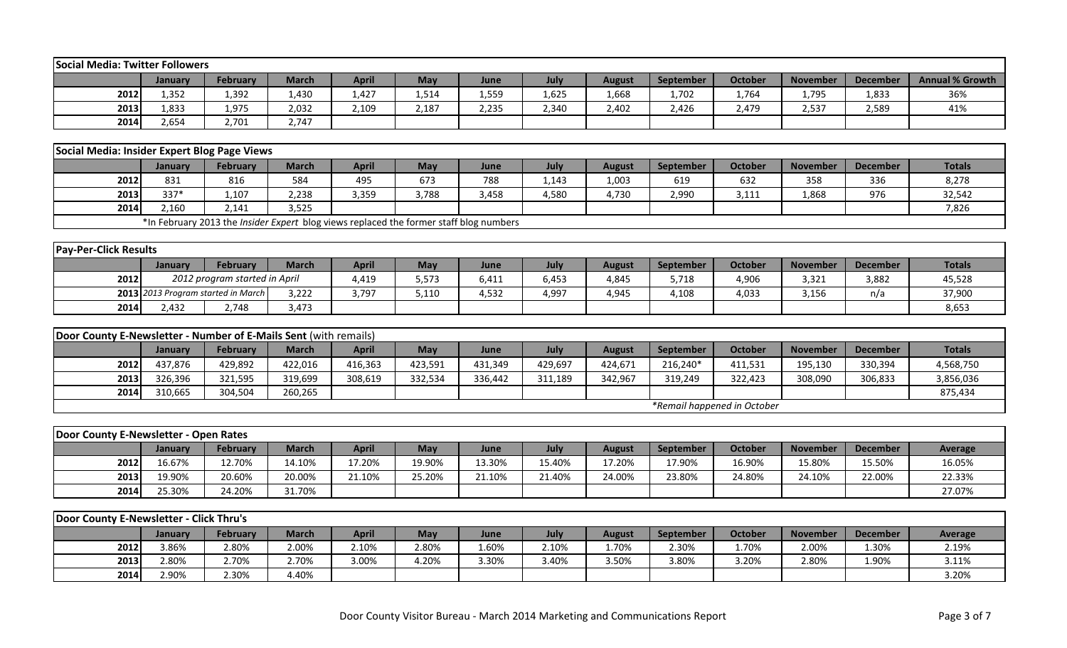| Social Media: Twitter Followers                                  |                |                                    |                                                                                               |              |         |         |         |               |           |                             |                 |                 |                        |
|------------------------------------------------------------------|----------------|------------------------------------|-----------------------------------------------------------------------------------------------|--------------|---------|---------|---------|---------------|-----------|-----------------------------|-----------------|-----------------|------------------------|
|                                                                  | January        | <b>February</b>                    | <b>March</b>                                                                                  | <b>April</b> | May     | June    | July    | <b>August</b> | September | <b>October</b>              | <b>November</b> | <b>December</b> | <b>Annual % Growth</b> |
| 2012                                                             | 1,352          | 1,392                              | 1,430                                                                                         | 1,427        | 1,514   | 1,559   | 1,625   | 1,668         | 1,702     | 1,764                       | 1,795           | 1,833           | 36%                    |
| 2013                                                             | 1,833          | 1,975                              | 2,032                                                                                         | 2,109        | 2,187   | 2,235   | 2,340   | 2,402         | 2,426     | 2,479                       | 2,537           | 2,589           | 41%                    |
| 2014                                                             | 2,654          | 2,701                              | 2,747                                                                                         |              |         |         |         |               |           |                             |                 |                 |                        |
|                                                                  |                |                                    |                                                                                               |              |         |         |         |               |           |                             |                 |                 |                        |
| Social Media: Insider Expert Blog Page Views                     |                |                                    |                                                                                               |              |         |         |         |               |           |                             |                 |                 |                        |
|                                                                  | January        | <b>February</b>                    | <b>March</b>                                                                                  | <b>April</b> | May     | June    | July    | <b>August</b> | September | <b>October</b>              | <b>November</b> | <b>December</b> | <b>Totals</b>          |
| 2012                                                             | 831            | 816                                | 584                                                                                           | 495          | 673     | 788     | 1,143   | 1,003         | 619       | 632                         | 358             | 336             | 8,278                  |
| 2013                                                             | 337*           | 1,107                              | 2,238                                                                                         | 3,359        | 3,788   | 3,458   | 4,580   | 4,730         | 2,990     | 3,111                       | 1,868           | 976             | 32,542                 |
| 2014                                                             | 2,160          | 2,141                              | 3,525                                                                                         |              |         |         |         |               |           |                             |                 |                 | 7,826                  |
|                                                                  |                |                                    | *In February 2013 the <i>Insider Expert</i> blog views replaced the former staff blog numbers |              |         |         |         |               |           |                             |                 |                 |                        |
|                                                                  |                |                                    |                                                                                               |              |         |         |         |               |           |                             |                 |                 |                        |
| <b>Pay-Per-Click Results</b>                                     |                |                                    |                                                                                               |              |         |         |         |               |           |                             |                 |                 |                        |
|                                                                  | January        | February                           | <b>March</b>                                                                                  | <b>April</b> | May     | June    | July    | <b>August</b> | September | <b>October</b>              | <b>November</b> | <b>December</b> | <b>Totals</b>          |
| 2012                                                             |                | 2012 program started in April      |                                                                                               | 4,419        | 5,573   | 6,411   | 6,453   | 4,845         | 5,718     | 4,906                       | 3,321           | 3,882           | 45,528                 |
|                                                                  |                | 2013 2013 Program started in March | 3,222                                                                                         | 3,797        | 5,110   | 4,532   | 4,997   | 4,945         | 4,108     | 4,033                       | 3,156           | n/a             | 37,900                 |
| 2014                                                             | 2,432          | 2,748                              | 3,473                                                                                         |              |         |         |         |               |           |                             |                 |                 | 8,653                  |
|                                                                  |                |                                    |                                                                                               |              |         |         |         |               |           |                             |                 |                 |                        |
| Door County E-Newsletter - Number of E-Mails Sent (with remails) |                |                                    |                                                                                               |              |         |         |         |               |           |                             |                 |                 |                        |
|                                                                  | January        | February                           | <b>March</b>                                                                                  | <b>April</b> | May     | June    | July    | <b>August</b> | September | <b>October</b>              | <b>November</b> | <b>December</b> |                        |
| 2012                                                             | 437,876        |                                    |                                                                                               |              |         |         |         |               |           |                             |                 |                 | <b>Totals</b>          |
|                                                                  |                | 429,892                            | 422,016                                                                                       | 416,363      | 423,591 | 431,349 | 429,697 | 424,671       | 216,240*  | 411,531                     | 195,130         | 330,394         | 4,568,750              |
| 2013                                                             | 326,396        | 321,595                            | 319,699                                                                                       | 308,619      | 332,534 | 336,442 | 311,189 | 342,967       | 319,249   | 322,423                     | 308,090         | 306,833         | 3,856,036              |
| 2014                                                             | 310,665        | 304,504                            | 260,265                                                                                       |              |         |         |         |               |           |                             |                 |                 | 875,434                |
|                                                                  |                |                                    |                                                                                               |              |         |         |         |               |           | *Remail happened in October |                 |                 |                        |
|                                                                  |                |                                    |                                                                                               |              |         |         |         |               |           |                             |                 |                 |                        |
| Door County E-Newsletter - Open Rates                            |                |                                    |                                                                                               |              |         |         |         |               |           |                             |                 |                 |                        |
|                                                                  | January        | <b>February</b>                    | <b>March</b>                                                                                  | <b>April</b> | May     | June    | July    | <b>August</b> | September | <b>October</b>              | <b>November</b> | <b>December</b> | Average                |
| 2012                                                             | 16.67%         | 12.70%                             | 14.10%                                                                                        | 17.20%       | 19.90%  | 13.30%  | 15.40%  | 17.20%        | 17.90%    | 16.90%                      | 15.80%          | 15.50%          | 16.05%                 |
| 2013                                                             | 19.90%         | 20.60%                             | 20.00%                                                                                        | 21.10%       | 25.20%  | 21.10%  | 21.40%  | 24.00%        | 23.80%    | 24.80%                      | 24.10%          | 22.00%          | 22.33%                 |
| 2014                                                             | 25.30%         | 24.20%                             | 31.70%                                                                                        |              |         |         |         |               |           |                             |                 |                 | 27.07%                 |
|                                                                  |                |                                    |                                                                                               |              |         |         |         |               |           |                             |                 |                 |                        |
| Door County E-Newsletter - Click Thru's                          |                |                                    |                                                                                               |              |         |         |         |               |           |                             |                 |                 |                        |
|                                                                  | January        | February                           | <b>March</b>                                                                                  | <b>April</b> | May     | June    | July    | <b>August</b> | September | <b>October</b>              | <b>November</b> | <b>December</b> | <b>Average</b>         |
| 2012                                                             | 3.86%          | 2.80%                              | 2.00%                                                                                         | 2.10%        | 2.80%   | 1.60%   | 2.10%   | 1.70%         | 2.30%     | 1.70%                       | 2.00%           | 1.30%           | 2.19%                  |
| 2013<br>2014                                                     | 2.80%<br>2.90% | 2.70%<br>2.30%                     | 2.70%<br>4.40%                                                                                | 3.00%        | 4.20%   | 3.30%   | 3.40%   | 3.50%         | 3.80%     | 3.20%                       | 2.80%           | 1.90%           | 3.11%<br>3.20%         |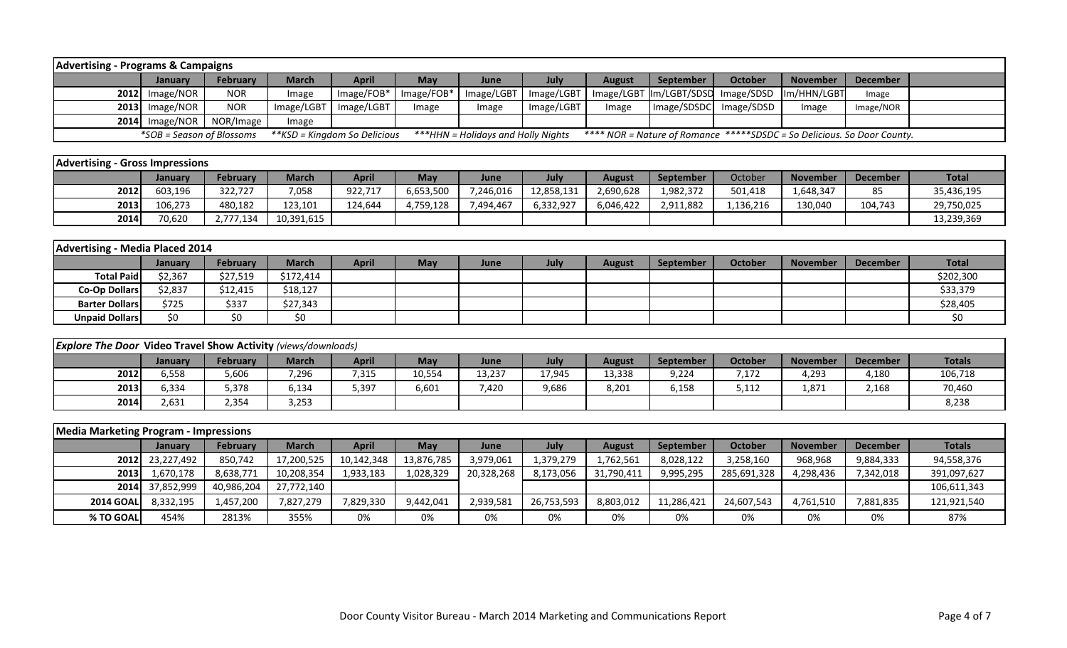| <b>Advertising - Programs &amp; Campaigns</b>                        |                           |                 |              |                               |            |                                     |            |               |                                                                         |                |                 |                 |               |
|----------------------------------------------------------------------|---------------------------|-----------------|--------------|-------------------------------|------------|-------------------------------------|------------|---------------|-------------------------------------------------------------------------|----------------|-----------------|-----------------|---------------|
|                                                                      | January                   | <b>February</b> | <b>March</b> | <b>April</b>                  | May        | June                                | July       | <b>August</b> | September                                                               | <b>October</b> | <b>November</b> | <b>December</b> |               |
| 2012                                                                 | Image/NOR                 | <b>NOR</b>      | Image        | Image/FOB*                    | Image/FOB* | Image/LGBT                          | Image/LGBT | Image/LGBT    | Im/LGBT/SDSD                                                            | Image/SDSD     | Im/HHN/LGBT     | Image           |               |
| 2013                                                                 | Image/NOR                 | <b>NOR</b>      | Image/LGBT   | Image/LGBT                    | Image      | Image                               | Image/LGBT | Image         | Image/SDSDC                                                             | Image/SDSD     | Image           | Image/NOR       |               |
|                                                                      | 2014 Image/NOR            | NOR/Image       | Image        |                               |            |                                     |            |               |                                                                         |                |                 |                 |               |
|                                                                      | *SOB = Season of Blossoms |                 |              | ** KSD = Kingdom So Delicious |            | *** HHN = Holidays and Holly Nights |            |               | **** NOR = Nature of Romance *****SDSDC = So Delicious. So Door County. |                |                 |                 |               |
|                                                                      |                           |                 |              |                               |            |                                     |            |               |                                                                         |                |                 |                 |               |
| <b>Advertising - Gross Impressions</b>                               |                           |                 |              |                               |            |                                     |            |               |                                                                         |                |                 |                 |               |
|                                                                      | January                   | <b>February</b> | <b>March</b> | <b>April</b>                  | May        | June                                | July       | <b>August</b> | September                                                               | October        | <b>November</b> | <b>December</b> | <b>Total</b>  |
| 2012                                                                 | 603,196                   | 322,727         | 7,058        | 922,717                       | 6,653,500  | 7,246,016                           | 12,858,131 | 2,690,628     | 1,982,372                                                               | 501,418        | 1,648,347       | 85              | 35,436,195    |
| 2013                                                                 | 106,273                   | 480,182         | 123,101      | 124,644                       | 4,759,128  | 7,494,467                           | 6,332,927  | 6,046,422     | 2,911,882                                                               | 1,136,216      | 130,040         | 104,743         | 29,750,025    |
| 2014                                                                 | 70,620                    | 2,777,134       | 10,391,615   |                               |            |                                     |            |               |                                                                         |                |                 |                 | 13,239,369    |
|                                                                      |                           |                 |              |                               |            |                                     |            |               |                                                                         |                |                 |                 |               |
| <b>Advertising - Media Placed 2014</b>                               |                           |                 |              |                               |            |                                     |            |               |                                                                         |                |                 |                 |               |
|                                                                      | January                   | <b>February</b> | <b>March</b> | <b>April</b>                  | May        | June                                | July       | <b>August</b> | September                                                               | October        | <b>November</b> | <b>December</b> | <b>Total</b>  |
| <b>Total Paid</b>                                                    | \$2,367                   | \$27,519        | \$172,414    |                               |            |                                     |            |               |                                                                         |                |                 |                 | \$202,300     |
| <b>Co-Op Dollars</b>                                                 | \$2,837                   | \$12,415        | \$18,127     |                               |            |                                     |            |               |                                                                         |                |                 |                 | \$33,379      |
| <b>Barter Dollars</b>                                                | \$725                     | \$337           | \$27,343     |                               |            |                                     |            |               |                                                                         |                |                 |                 | \$28,405      |
| <b>Unpaid Dollars</b>                                                | \$0                       | \$0             | \$0          |                               |            |                                     |            |               |                                                                         |                |                 |                 | \$0           |
|                                                                      |                           |                 |              |                               |            |                                     |            |               |                                                                         |                |                 |                 |               |
| <b>Explore The Door Video Travel Show Activity (views/downloads)</b> |                           |                 |              |                               |            |                                     |            |               |                                                                         |                |                 |                 |               |
|                                                                      | January                   | <b>February</b> | <b>March</b> | <b>April</b>                  | May        | June                                | July       | <b>August</b> | <b>September</b>                                                        | <b>October</b> | <b>November</b> | <b>December</b> | <b>Totals</b> |
| 2012                                                                 | 6,558                     | 5,606           | 7,296        | 7,315                         | 10,554     | 13,237                              | 17,945     | 13,338        | 9,224                                                                   | 7,172          | 4,293           | 4,180           | 106,718       |
| 2013                                                                 | 6,334                     | 5,378           | 6,134        | 5,397                         | 6,601      | 7,420                               | 9,686      | 8,201         | 6,158                                                                   | 5,112          | 1,871           | 2,168           | 70,460        |
| 2014                                                                 | 2,631                     | 2,354           | 3,253        |                               |            |                                     |            |               |                                                                         |                |                 |                 | 8,238         |
|                                                                      |                           |                 |              |                               |            |                                     |            |               |                                                                         |                |                 |                 |               |
| <b>Media Marketing Program - Impressions</b>                         |                           |                 |              |                               |            |                                     |            |               |                                                                         |                |                 |                 |               |
|                                                                      | January                   | February        | <b>March</b> | <b>April</b>                  | May        | June                                | July       | <b>August</b> | September                                                               | <b>October</b> | <b>November</b> | <b>December</b> | <b>Totals</b> |
| 2012                                                                 | 23,227,492                | 850,742         | 17,200,525   | 10,142,348                    | 13,876,785 | 3,979,061                           | 1,379,279  | 1,762,561     | 8,028,122                                                               | 3,258,160      | 968,968         | 9,884,333       | 94,558,376    |
| 2013                                                                 | 1,670,178                 | 8,638,771       | 10,208,354   | 1,933,183                     | 1,028,329  | 20,328,268                          | 8,173,056  | 31,790,411    | 9,995,295                                                               | 285,691,328    | 4,298,436       | 7,342,018       | 391,097,627   |
| 2014                                                                 | 37,852,999                | 40,986,204      | 27,772,140   |                               |            |                                     |            |               |                                                                         |                |                 |                 | 106,611,343   |
| <b>2014 GOAL</b>                                                     | 8,332,195                 | 1,457,200       | 7,827,279    | 7,829,330                     | 9,442,041  | 2,939,581                           | 26,753,593 | 8,803,012     | 11,286,421                                                              | 24,607,543     | 4,761,510       | 7,881,835       | 121,921,540   |
| % TO GOAL                                                            | 454%                      | 2813%           | 355%         | 0%                            | 0%         | 0%                                  | 0%         | 0%            | 0%                                                                      | 0%             | 0%              | 0%              | 87%           |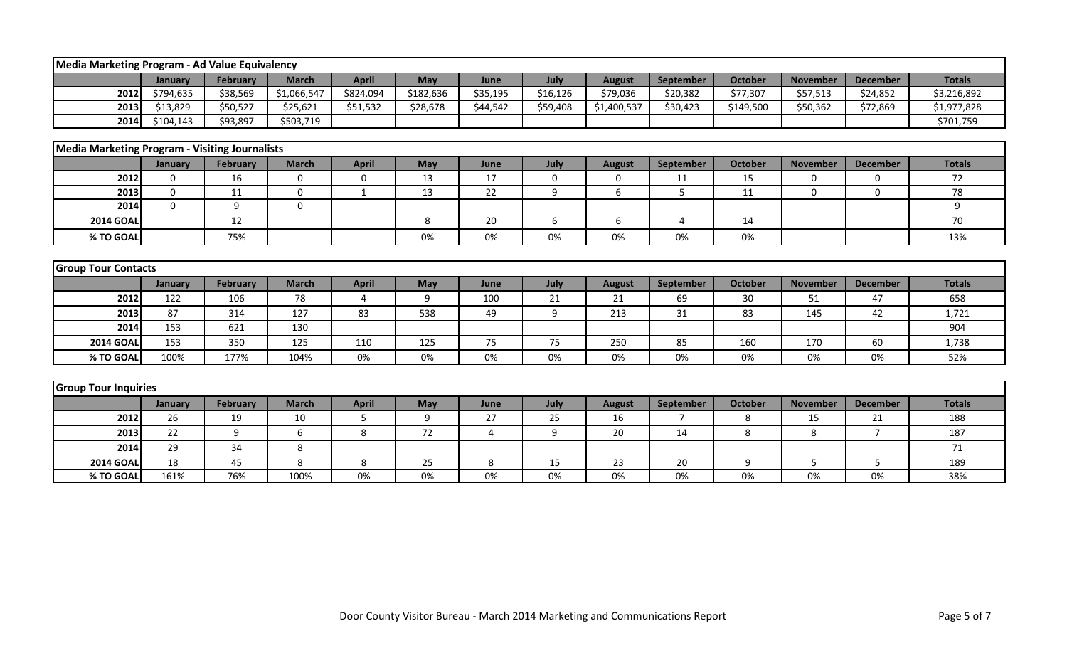|                                                       | Media Marketing Program - Ad Value Equivalency |                 |                             |              |           |                  |          |                           |                       |                            |                 |                             |               |  |
|-------------------------------------------------------|------------------------------------------------|-----------------|-----------------------------|--------------|-----------|------------------|----------|---------------------------|-----------------------|----------------------------|-----------------|-----------------------------|---------------|--|
|                                                       |                                                | <b>February</b> |                             | <b>April</b> | May       |                  | July     |                           |                       |                            | <b>November</b> |                             | <b>Totals</b> |  |
| 2012                                                  | January<br>\$794,635                           | \$38,569        | <b>March</b><br>\$1,066,547 | \$824,094    | \$182,636 | June<br>\$35,195 | \$16,126 | <b>August</b><br>\$79,036 | September<br>\$20,382 | <b>October</b><br>\$77,307 | \$57,513        | <b>December</b><br>\$24,852 | \$3,216,892   |  |
| 2013                                                  | \$13,829                                       |                 |                             |              |           |                  |          |                           |                       |                            |                 |                             |               |  |
|                                                       |                                                | \$50,527        | \$25,621                    | \$51,532     | \$28,678  | \$44,542         | \$59,408 | \$1,400,537               | \$30,423              | \$149,500                  | \$50,362        | \$72,869                    | \$1,977,828   |  |
| 2014                                                  | \$104,143                                      | \$93,897        | \$503,719                   |              |           |                  |          |                           |                       |                            |                 |                             | \$701,759     |  |
| <b>Media Marketing Program - Visiting Journalists</b> |                                                |                 |                             |              |           |                  |          |                           |                       |                            |                 |                             |               |  |
|                                                       | January                                        | <b>February</b> | <b>March</b>                | <b>April</b> | May       | June             | July     | <b>August</b>             | September             | <b>October</b>             | <b>November</b> | <b>December</b>             | <b>Totals</b> |  |
| 2012                                                  | $\Omega$                                       | 16              | $\Omega$                    | 0            | 13        | 17               | 0        | 0                         | 11                    | 15                         | $\Omega$        | $\mathbf{0}$                | 72            |  |
| 2013                                                  | $\mathbf 0$                                    | 11              | $\mathbf 0$                 | $\mathbf{1}$ | 13        | 22               | 9        | 6                         | 5                     | 11                         | $\mathbf 0$     | $\Omega$                    | 78            |  |
| 2014                                                  | $\Omega$                                       | 9               | $\mathbf 0$                 |              |           |                  |          |                           |                       |                            |                 |                             | 9             |  |
| <b>2014 GOAL</b>                                      |                                                | 12              |                             |              | 8         | 20               | 6        | 6                         | $\overline{4}$        | 14                         |                 |                             | 70            |  |
| % TO GOAL                                             |                                                | 75%             |                             |              | 0%        | 0%               | 0%       | 0%                        | 0%                    | 0%                         |                 |                             | 13%           |  |
|                                                       |                                                |                 |                             |              |           |                  |          |                           |                       |                            |                 |                             |               |  |
|                                                       |                                                |                 |                             |              |           |                  |          |                           |                       |                            |                 |                             |               |  |
| <b>Group Tour Contacts</b>                            |                                                |                 |                             |              |           |                  |          |                           |                       |                            |                 |                             |               |  |
|                                                       | January                                        | February        | <b>March</b>                | <b>April</b> | May       | June             | July     | <b>August</b>             | September             | <b>October</b>             | <b>November</b> | <b>December</b>             | <b>Totals</b> |  |
| 2012                                                  | 122                                            | 106             | 78                          | $\Delta$     | 9         | 100              | 21       | 21                        | 69                    | 30                         | 51              | 47                          | 658           |  |
| 2013                                                  | 87                                             | 314             | 127                         | 83           | 538       | 49               | 9        | 213                       | 31                    | 83                         | 145             | 42                          | 1,721         |  |
| 2014                                                  | 153                                            | 621             | 130                         |              |           |                  |          |                           |                       |                            |                 |                             | 904           |  |
| <b>2014 GOAL</b>                                      | 153                                            | 350             | 125                         | 110          | 125       | 75               | 75       | 250                       | 85                    | 160                        | 170             | 60                          | 1,738         |  |
| % TO GOAL                                             | 100%                                           | 177%            | 104%                        | 0%           | 0%        | 0%               | 0%       | 0%                        | 0%                    | 0%                         | 0%              | 0%                          | 52%           |  |
|                                                       |                                                |                 |                             |              |           |                  |          |                           |                       |                            |                 |                             |               |  |
| <b>Group Tour Inquiries</b>                           |                                                |                 |                             |              |           |                  |          |                           |                       |                            |                 |                             |               |  |
|                                                       | January                                        | February        | <b>March</b>                | <b>April</b> | May       | June             | July     | <b>August</b>             | <b>September</b>      | <b>October</b>             | <b>November</b> | <b>December</b>             | <b>Totals</b> |  |
| 2012                                                  | 26                                             | 19              | 10                          | 5            | 9         | 27               | 25       | 16                        | $\overline{7}$        | 8                          | 15              | 21                          | 188           |  |
| 2013                                                  | 22                                             | 9               | 6                           | 8            | 72        | 4                | 9        | 20                        | 14                    | 8                          | 8               | $\overline{7}$              | 187           |  |
| 2014                                                  | 29                                             | 34              | 8                           |              |           |                  |          |                           |                       |                            |                 |                             | 71            |  |
| <b>2014 GOAI</b>                                      | 18                                             | 45              | 8                           | 8            | 25        | 8                | 15       | 23                        | 20                    | 9                          | 5               | 5                           | 189           |  |
| % TO GOAL                                             | 161%                                           | 76%             | 100%                        | 0%           | 0%        | $0\%$            | 0%       | $0\%$                     | 0%                    | $0\%$                      | $0\%$           | 0%                          | 38%           |  |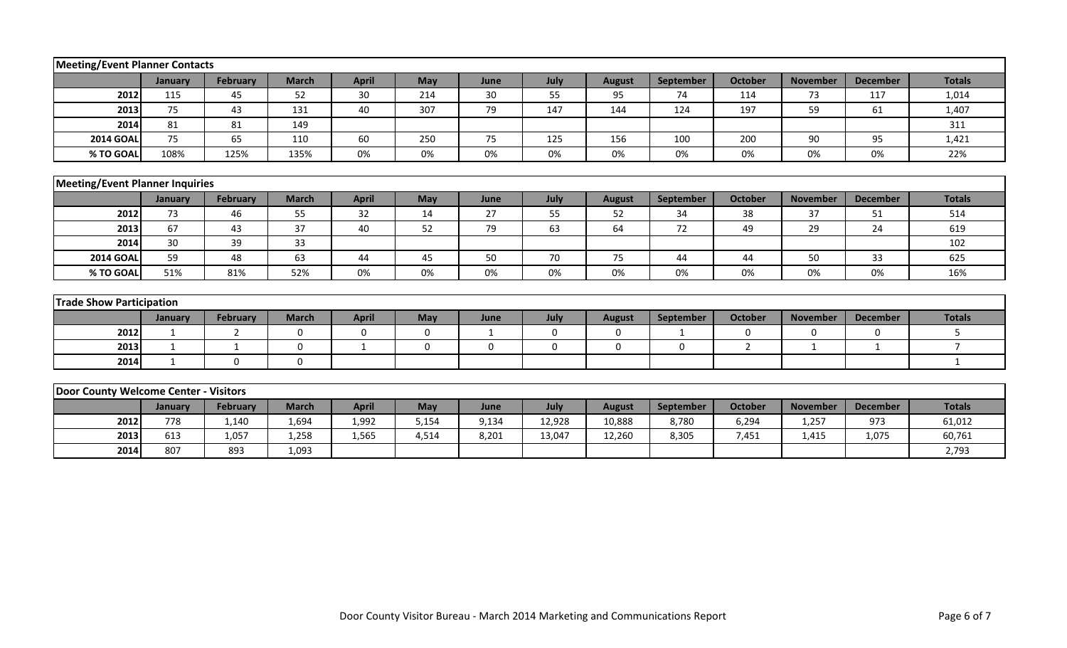| <b>Meeting/Event Planner Contacts</b>  |              |                 |              |              |             |              |             |               |                  |                |                 |                 |                |
|----------------------------------------|--------------|-----------------|--------------|--------------|-------------|--------------|-------------|---------------|------------------|----------------|-----------------|-----------------|----------------|
|                                        | January      | <b>February</b> | <b>March</b> | <b>April</b> | May         | June         | July        | <b>August</b> | September        | October        | <b>November</b> | <b>December</b> | <b>Totals</b>  |
| 2012                                   | 115          | 45              | 52           | 30           | 214         | 30           | 55          | 95            | 74               | 114            | 73              | 117             | 1,014          |
| 2013                                   | 75           | 43              | 131          | 40           | 307         | 79           | 147         | 144           | 124              | 197            | 59              | 61              | 1,407          |
| 2014                                   | 81           | 81              | 149          |              |             |              |             |               |                  |                |                 |                 | 311            |
| <b>2014 GOAL</b>                       | 75           | 65              | 110          | 60           | 250         | 75           | 125         | 156           | 100              | 200            | 90              | 95              | 1,421          |
| % TO GOAL                              | 108%         | 125%            | 135%         | 0%           | 0%          | 0%           | 0%          | 0%            | 0%               | 0%             | 0%              | 0%              | 22%            |
|                                        |              |                 |              |              |             |              |             |               |                  |                |                 |                 |                |
| <b>Meeting/Event Planner Inquiries</b> |              |                 |              |              |             |              |             |               |                  |                |                 |                 |                |
|                                        | January      | <b>February</b> | <b>March</b> | <b>April</b> | May         | June         | July        | <b>August</b> | <b>September</b> | <b>October</b> | <b>November</b> | <b>December</b> | <b>Totals</b>  |
| 2012                                   | 73           | 46              | 55           | 32           | 14          | 27           | 55          | 52            | 34               | 38             | 37              | 51              | 514            |
| 2013                                   | 67           | 43              | 37           | 40           | 52          | 79           | 63          | 64            | 72               | 49             | 29              | 24              | 619            |
| 2014                                   | 30           | 39              | 33           |              |             |              |             |               |                  |                |                 |                 | 102            |
| <b>2014 GOAL</b>                       | 59           | 48              | 63           | 44           | 45          | 50           | 70          | 75            | 44               | 44             | 50              | 33              | 625            |
| % TO GOAL                              | 51%          | 81%             | 52%          | 0%           | 0%          | 0%           | 0%          | 0%            | 0%               | 0%             | 0%              | 0%              | 16%            |
|                                        |              |                 |              |              |             |              |             |               |                  |                |                 |                 |                |
| <b>Trade Show Participation</b>        |              |                 |              |              |             |              |             |               |                  |                |                 |                 |                |
|                                        | January      | February        | <b>March</b> | <b>April</b> | May         | June         | July        | <b>August</b> | September        | October        | <b>November</b> | <b>December</b> | <b>Totals</b>  |
| 2012                                   | 1            | 2               | $\mathbf{0}$ | $\Omega$     | $\mathbf 0$ | $\mathbf{1}$ | $\mathbf 0$ | $\mathbf 0$   | 1                | 0              | $\Omega$        | $\Omega$        | 5              |
| 2013                                   | 1            | 1               | $\mathbf 0$  | $\mathbf{1}$ | $\mathbf 0$ | 0            | $\mathbf 0$ | $\mathbf 0$   | $\mathbf 0$      | $\overline{2}$ | 1               | 1               | $\overline{7}$ |
| 2014                                   | $\mathbf{1}$ | $\mathbf 0$     | $\mathbf 0$  |              |             |              |             |               |                  |                |                 |                 | $\mathbf{1}$   |
|                                        |              |                 |              |              |             |              |             |               |                  |                |                 |                 |                |
| Door County Welcome Center - Visitors  |              |                 |              |              |             |              |             |               |                  |                |                 |                 |                |
|                                        | January      | February        | <b>March</b> | <b>April</b> | May         | June         | July        | <b>August</b> | September        | <b>October</b> | <b>November</b> | <b>December</b> | <b>Totals</b>  |
| 2012                                   | 778          | 1,140           | 1,694        | 1,992        | 5,154       | 9,134        | 12,928      | 10,888        | 8,780            | 6,294          | 1,257           | 973             | 61,012         |
| 2013                                   | 613          | 1,057           | 1,258        | 1,565        | 4,514       | 8,201        | 13,047      | 12,260        | 8,305            | 7,451          | 1,415           | 1,075           | 60,761         |
| 2014                                   | 807          | 893             | 1,093        |              |             |              |             |               |                  |                |                 |                 | 2,793          |